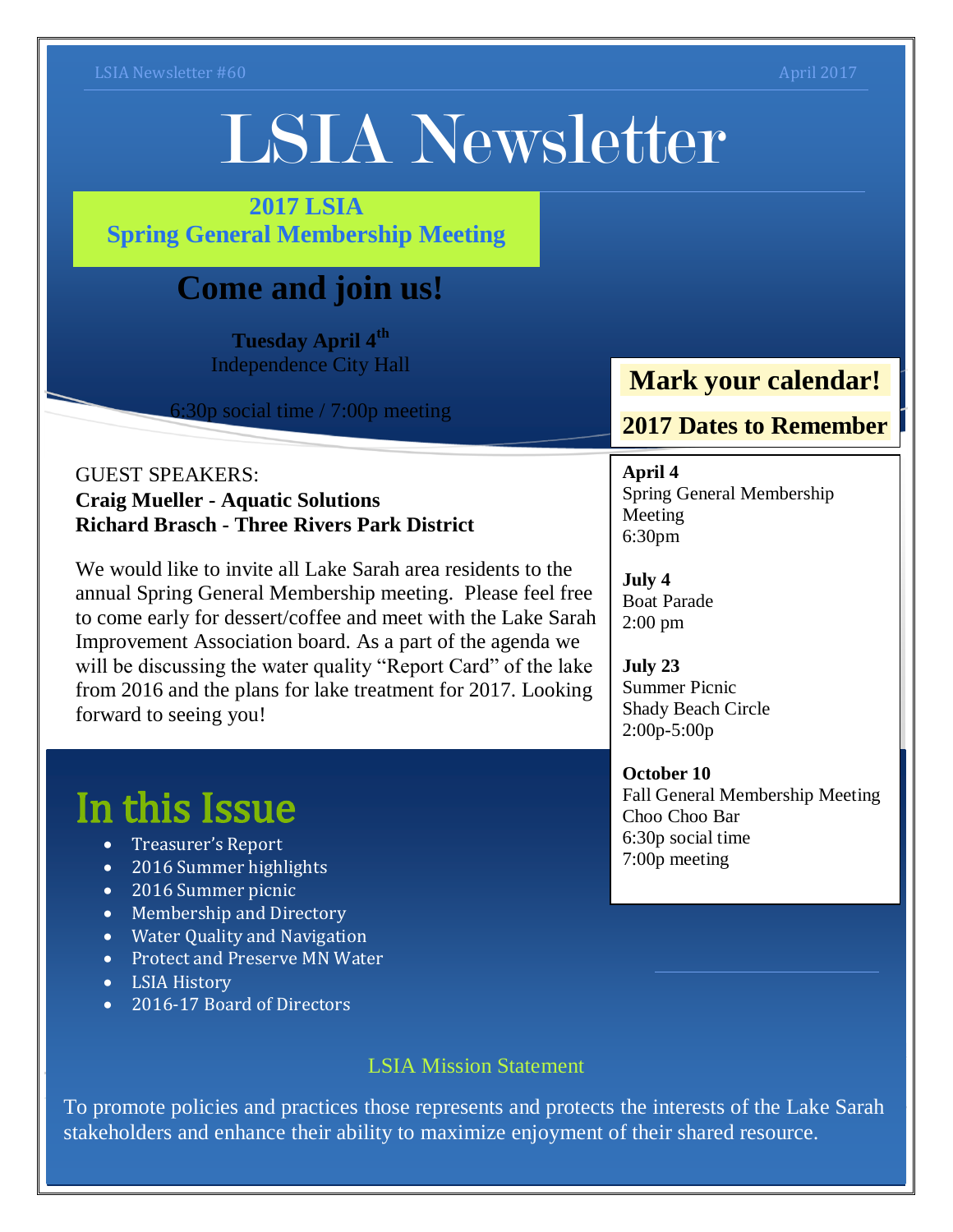# LSIA Newsletter

#### **2017 LSIA Spring General Membership Meeting**

## **Come and join us!**

**Tuesday April 4th** Independence City Hall

6:30p social time / 7:00p meeting

#### GUEST SPEAKERS: **Craig Mueller - Aquatic Solutions Richard Brasch - Three Rivers Park District**

We would like to invite all Lake Sarah area residents to the annual Spring General Membership meeting. Please feel free to come early for dessert/coffee and meet with the Lake Sarah Improvement Association board. As a part of the agenda we will be discussing the water quality "Report Card" of the lake from 2016 and the plans for lake treatment for 2017. Looking forward to seeing you!

## In this Issue

- Treasurer's Report
- 2016 Summer highlights
- 2016 Summer picnic
- Membership and Directory
- Water Quality and Navigation
- Protect and Preserve MN Water
- LSIA History
- 2016-17 Board of Directors

#### LSIA Mission Statement

To promote policies and practices those represents and protects the interests of the Lake Sarah stakeholders and enhance their ability to maximize enjoyment of their shared resource.

## **Mark your calendar!**

#### **2017 Dates to Remember**

**April 4** Spring General Membership Meeting 6:30pm

**July 4** Boat Parade 2:00 pm

**July 23** Summer Picnic Shady Beach Circle 2:00p-5:00p

**October 10** Fall General Membership Meeting Choo Choo Bar 6:30p social time 7:00p meeting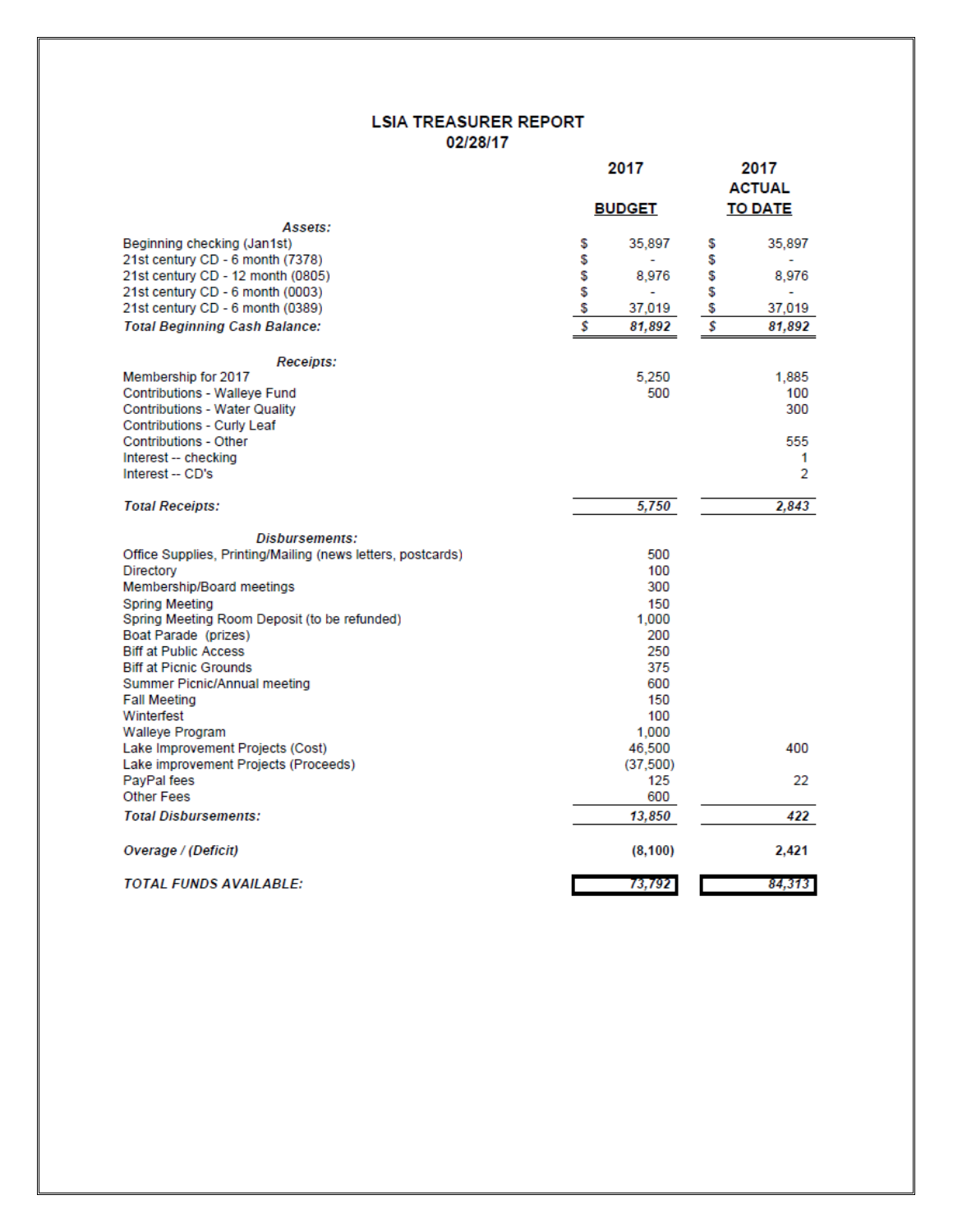#### **LSIA TREASURER REPORT** 02/28/17

|                                                                          | 2017                | 2017<br><b>ACTUAL</b> |
|--------------------------------------------------------------------------|---------------------|-----------------------|
|                                                                          | <b>BUDGET</b>       | <b>TO DATE</b>        |
| Assets:                                                                  |                     |                       |
| Beginning checking (Jan1st)                                              | \$<br>35,897        | 35,897<br>\$          |
| 21st century CD - 6 month (7378)                                         | \$                  | \$                    |
| 21st century CD - 12 month (0805)                                        | \$<br>8,976         | \$<br>8,976           |
| 21st century CD - 6 month (0003)                                         | \$                  | \$                    |
| 21st century CD - 6 month (0389)                                         | \$<br>37,019        | \$<br>37,019          |
| <b>Total Beginning Cash Balance:</b>                                     | \$<br>81,892        | \$<br>81,892          |
| <b>Receipts:</b>                                                         |                     |                       |
| Membership for 2017                                                      | 5.250               | 1,885                 |
| Contributions - Walleye Fund                                             | 500                 | 100                   |
| <b>Contributions - Water Quality</b>                                     |                     | 300                   |
| Contributions - Curly Leaf                                               |                     |                       |
| <b>Contributions - Other</b>                                             |                     | 555                   |
| Interest -- checking                                                     |                     | 1                     |
| Interest -- CD's                                                         |                     | 2                     |
| <b>Total Receipts:</b>                                                   | 5,750               | 2,843                 |
| <b>Disbursements:</b>                                                    |                     |                       |
| Office Supplies, Printing/Mailing (news letters, postcards)              | 500                 |                       |
| Directory                                                                | 100                 |                       |
| Membership/Board meetings                                                | 300                 |                       |
| Spring Meeting                                                           | 150                 |                       |
| Spring Meeting Room Deposit (to be refunded)                             | 1,000               |                       |
| Boat Parade (prizes)                                                     | 200                 |                       |
| <b>Biff at Public Access</b>                                             | 250                 |                       |
| <b>Biff at Picnic Grounds</b>                                            | 375                 |                       |
| Summer Picnic/Annual meeting                                             | 600                 |                       |
| <b>Fall Meeting</b>                                                      | 150                 |                       |
| Winterfest                                                               | 100                 |                       |
| <b>Walleye Program</b>                                                   | 1,000               |                       |
| Lake Improvement Projects (Cost)<br>Lake improvement Projects (Proceeds) | 46,500<br>(37, 500) | 400                   |
| PayPal fees                                                              | 125                 | 22                    |
| <b>Other Fees</b>                                                        | 600                 |                       |
| <b>Total Disbursements:</b>                                              | 13,850              | 422                   |
|                                                                          |                     |                       |
| Overage / (Deficit)                                                      | (8, 100)            | 2,421                 |
| TOTAL FUNDS AVAILABLE:                                                   | 73,792              | 84,313                |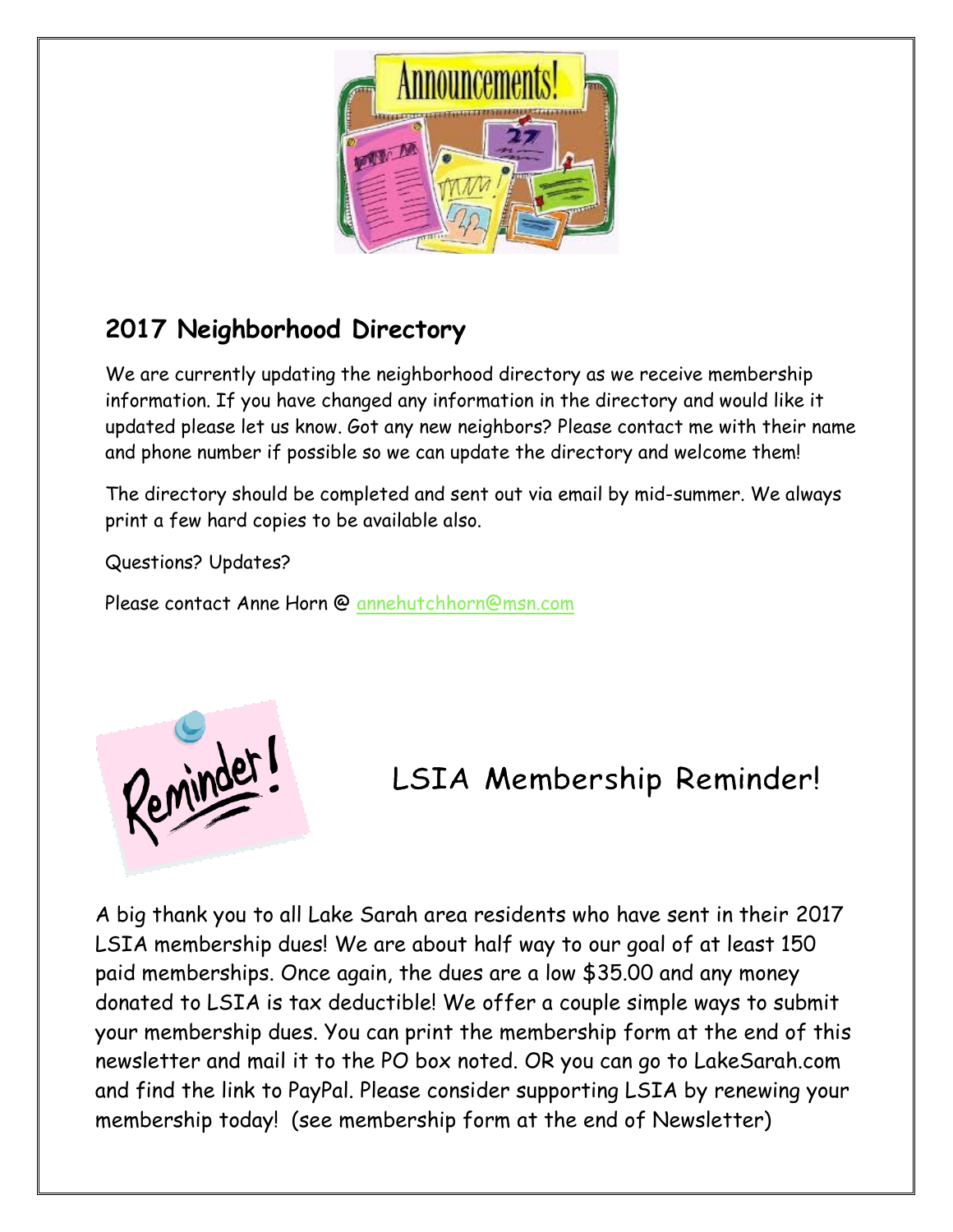

## **2017 Neighborhood Directory**

We are currently updating the neighborhood directory as we receive membership information. If you have changed any information in the directory and would like it updated please let us know. Got any new neighbors? Please contact me with their name and phone number if possible so we can update the directory and welcome them!

The directory should be completed and sent out via email by mid-summer. We always print a few hard copies to be available also.

Questions? Updates?

Please contact Anne Horn @ [annehutchhorn@msn.com](mailto:annehutchhorn@msn.com)



## LSIA Membership Reminder!

A big thank you to all Lake Sarah area residents who have sent in their 2017 LSIA membership dues! We are about half way to our goal of at least 150 paid memberships. Once again, the dues are a low \$35.00 and any money donated to LSIA is tax deductible! We offer a couple simple ways to submit your membership dues. You can print the membership form at the end of this newsletter and mail it to the PO box noted. OR you can go to LakeSarah.com and find the link to PayPal. Please consider supporting LSIA by renewing your membership today! (see membership form at the end of Newsletter)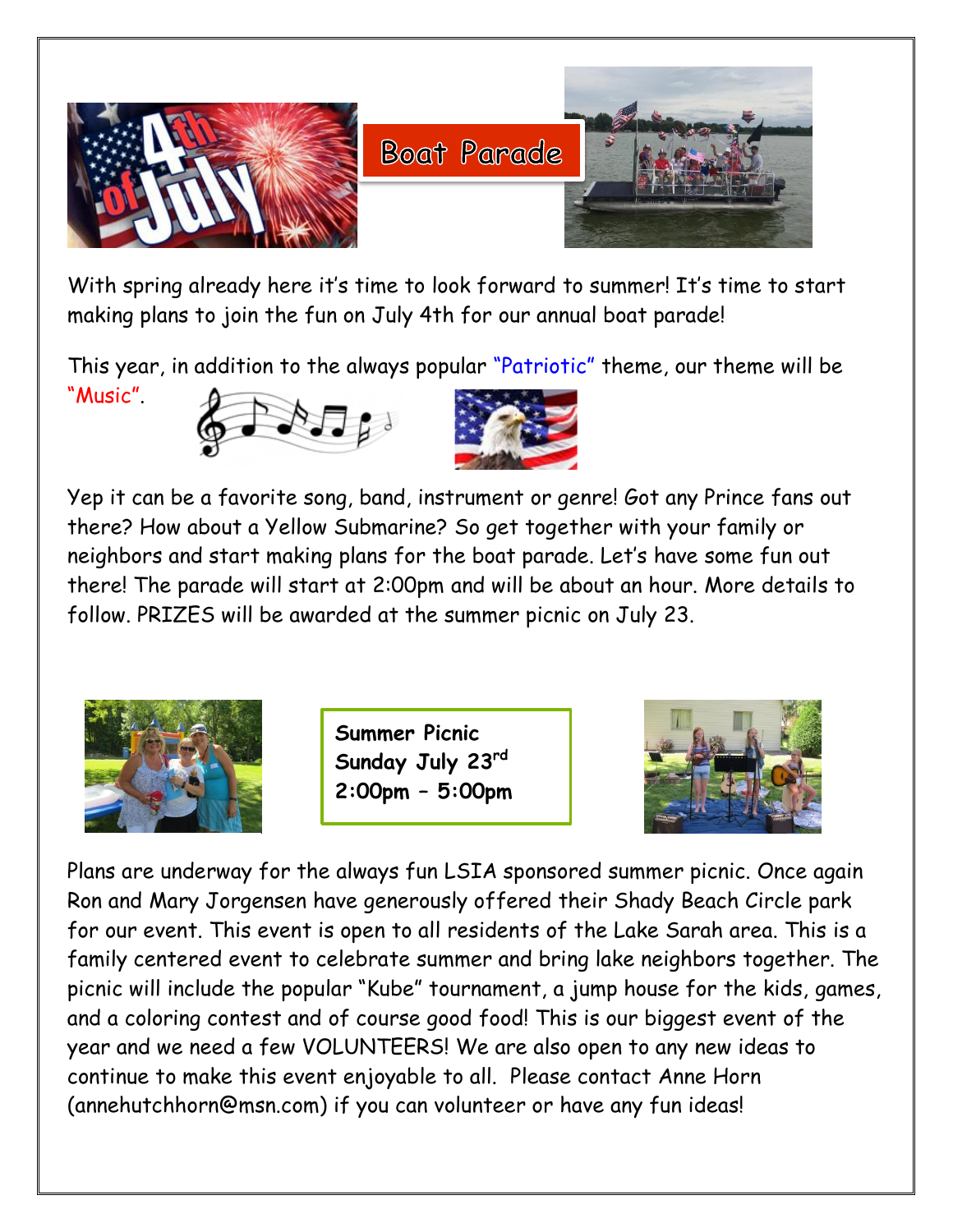

With spring already here it's time to look forward to summer! It's time to start making plans to join the fun on July 4th for our annual boat parade!

This year, in addition to the always popular "Patriotic" theme, our theme will be "Music".





Yep it can be a favorite song, band, instrument or genre! Got any Prince fans out there? How about a Yellow Submarine? So get together with your family or neighbors and start making plans for the boat parade. Let's have some fun out there! The parade will start at 2:00pm and will be about an hour. More details to follow. PRIZES will be awarded at the summer picnic on July 23.



**Summer Picnic Sunday July 23rd 2:00pm – 5:00pm**



Plans are underway for the always fun LSIA sponsored summer picnic. Once again Ron and Mary Jorgensen have generously offered their Shady Beach Circle park for our event. This event is open to all residents of the Lake Sarah area. This is a family centered event to celebrate summer and bring lake neighbors together. The picnic will include the popular "Kube" tournament, a jump house for the kids, games, and a coloring contest and of course good food! This is our biggest event of the year and we need a few VOLUNTEERS! We are also open to any new ideas to continue to make this event enjoyable to all. Please contact Anne Horn (annehutchhorn@msn.com) if you can volunteer or have any fun ideas!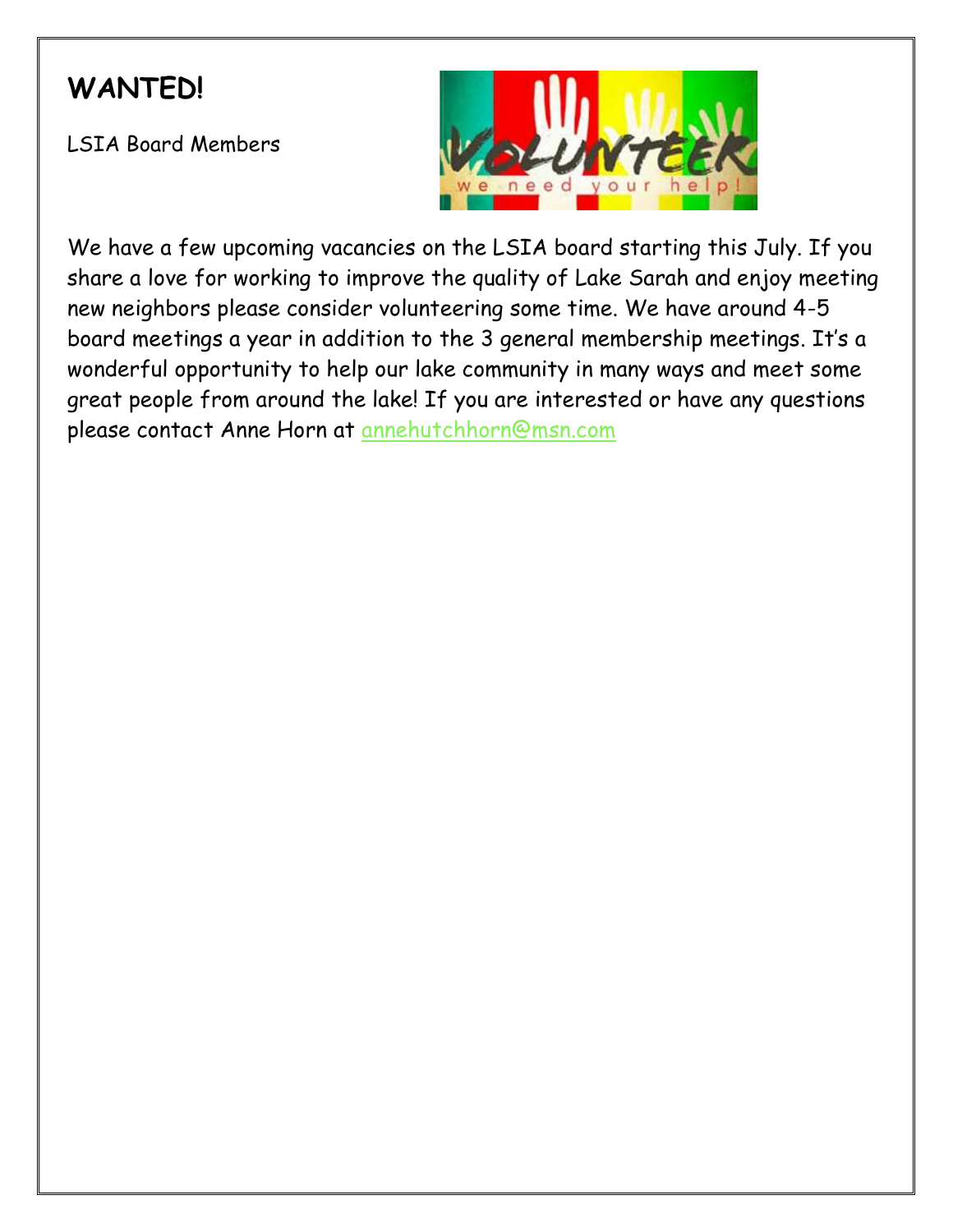## **WANTED!**

LSIA Board Members



We have a few upcoming vacancies on the LSIA board starting this July. If you share a love for working to improve the quality of Lake Sarah and enjoy meeting new neighbors please consider volunteering some time. We have around 4-5 board meetings a year in addition to the 3 general membership meetings. It's a wonderful opportunity to help our lake community in many ways and meet some great people from around the lake! If you are interested or have any questions please contact Anne Horn at [annehutchhorn@msn.com](mailto:annehutchhorn@msn.com)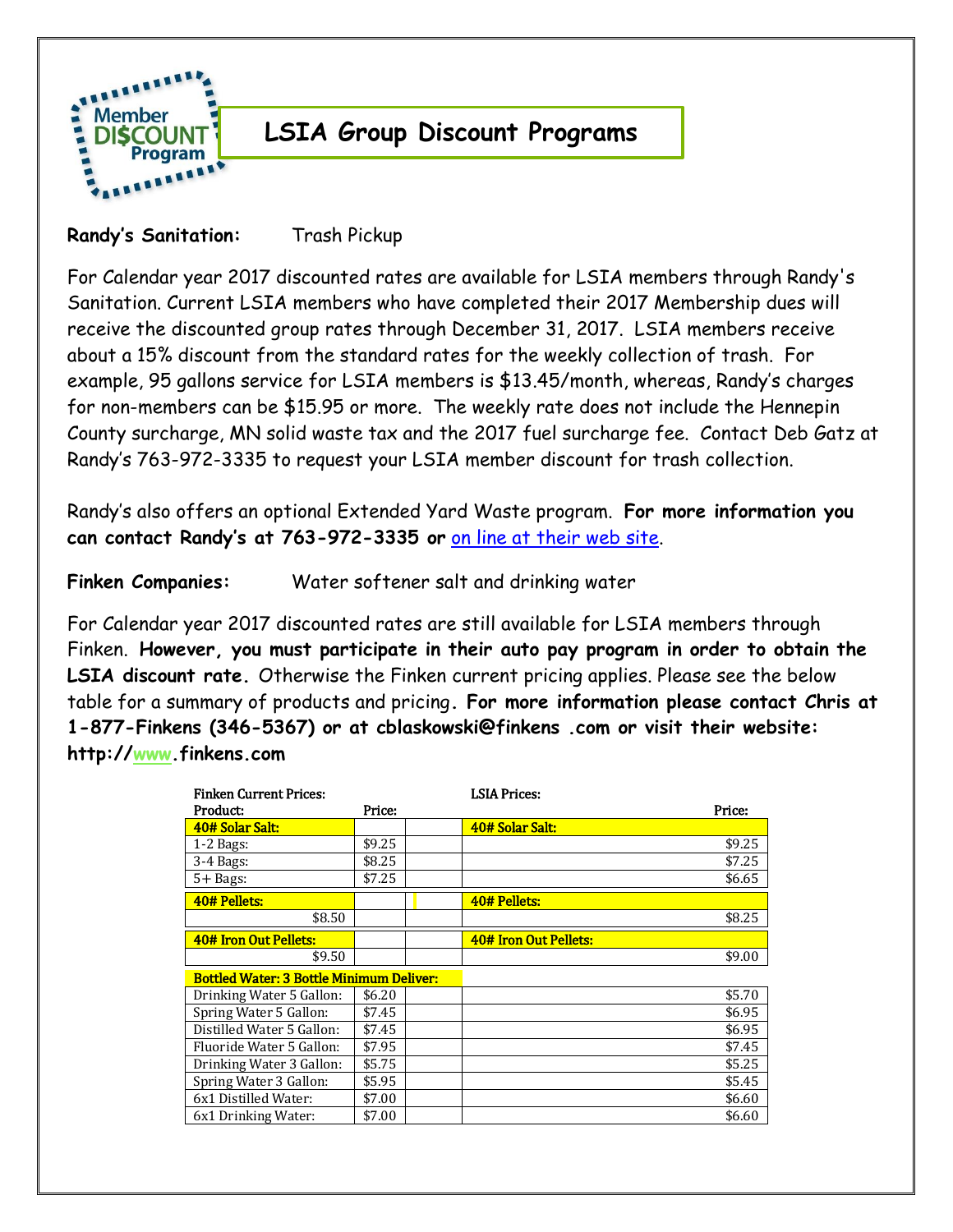

### **LSIA Group Discount Programs**

#### **Randy's Sanitation:** Trash Pickup

For Calendar year 2017 discounted rates are available for LSIA members through Randy's Sanitation. Current LSIA members who have completed their 2017 Membership dues will receive the discounted group rates through December 31, 2017. LSIA members receive about a 15% discount from the standard rates for the weekly collection of trash. For example, 95 gallons service for LSIA members is \$13.45/month, whereas, Randy's charges for non-members can be \$15.95 or more. The weekly rate does not include the Hennepin County surcharge, MN solid waste tax and the 2017 fuel surcharge fee. Contact Deb Gatz at Randy's 763-972-3335 to request your LSIA member discount for trash collection.

Randy's also offers an optional Extended Yard Waste program. **For more information you can contact Randy's at 763-972-3335 or** [on line at their web site.](http://www.randyssanitation.com/)

**Finken Companies:** Water softener salt and drinking water

For Calendar year 2017 discounted rates are still available for LSIA members through Finken. **However, you must participate in their auto pay program in order to obtain the LSIA discount rate.** Otherwise the Finken current pricing applies. Please see the below table for a summary of products and pricing**. For more information please contact Chris at 1-877-Finkens (346-5367) or at cblaskowski@finkens .com or visit their website: http:/[/www.](http://www.finkens.com/)finkens.com**

| <b>Finken Current Prices:</b>                   |        |  | <b>LSIA Prices:</b>   |        |
|-------------------------------------------------|--------|--|-----------------------|--------|
| Product:                                        | Price: |  |                       | Price: |
| 40# Solar Salt:                                 |        |  | 40# Solar Salt:       |        |
| $1-2$ Bags:                                     | \$9.25 |  |                       | \$9.25 |
| 3-4 Bags:                                       | \$8.25 |  |                       | \$7.25 |
| $5 +$ Bags:                                     | \$7.25 |  |                       | \$6.65 |
| 40# Pellets:                                    |        |  | 40# Pellets:          |        |
| \$8.50                                          |        |  |                       | \$8.25 |
| 40# Iron Out Pellets:                           |        |  | 40# Iron Out Pellets: |        |
| \$9.50                                          |        |  |                       | \$9.00 |
| <b>Bottled Water: 3 Bottle Minimum Deliver:</b> |        |  |                       |        |
| Drinking Water 5 Gallon:                        | \$6.20 |  |                       | \$5.70 |
| Spring Water 5 Gallon:                          | \$7.45 |  |                       | \$6.95 |
| Distilled Water 5 Gallon:                       | \$7.45 |  |                       | \$6.95 |
| Fluoride Water 5 Gallon:                        | \$7.95 |  |                       | \$7.45 |
| Drinking Water 3 Gallon:                        | \$5.75 |  |                       | \$5.25 |
| Spring Water 3 Gallon:                          | \$5.95 |  |                       | \$5.45 |
| 6x1 Distilled Water:                            | \$7.00 |  |                       | \$6.60 |
| 6x1 Drinking Water:                             | \$7.00 |  |                       | \$6.60 |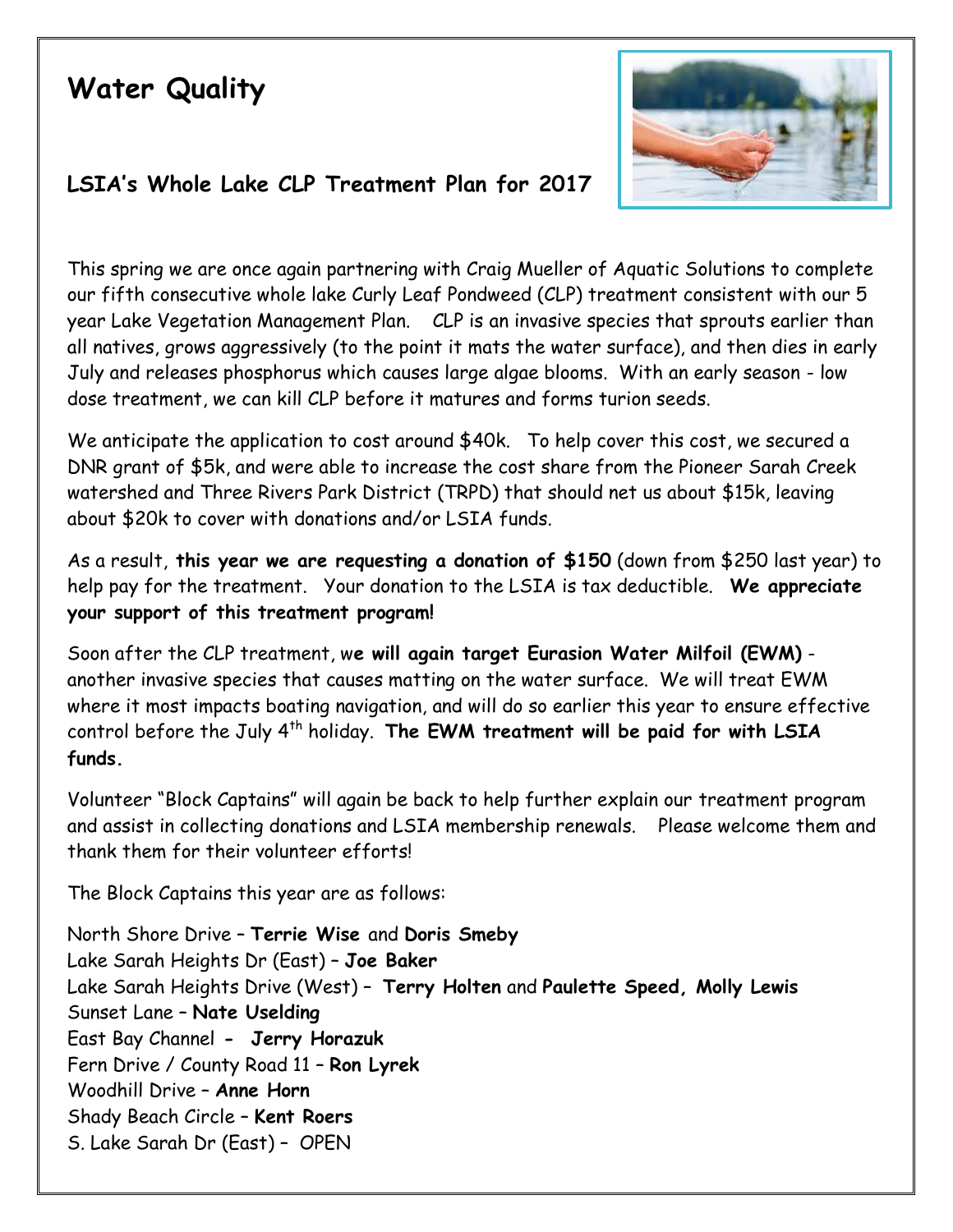## **Water Quality**



#### **LSIA's Whole Lake CLP Treatment Plan for 2017**

This spring we are once again partnering with Craig Mueller of Aquatic Solutions to complete our fifth consecutive whole lake Curly Leaf Pondweed (CLP) treatment consistent with our 5 year Lake Vegetation Management Plan. CLP is an invasive species that sprouts earlier than all natives, grows aggressively (to the point it mats the water surface), and then dies in early July and releases phosphorus which causes large algae blooms. With an early season - low dose treatment, we can kill CLP before it matures and forms turion seeds.

We anticipate the application to cost around \$40k. To help cover this cost, we secured a DNR grant of \$5k, and were able to increase the cost share from the Pioneer Sarah Creek watershed and Three Rivers Park District (TRPD) that should net us about \$15k, leaving about \$20k to cover with donations and/or LSIA funds.

As a result, **this year we are requesting a donation of \$150** (down from \$250 last year) to help pay for the treatment. Your donation to the LSIA is tax deductible. **We appreciate your support of this treatment program!**

Soon after the CLP treatment, w**e will again target Eurasion Water Milfoil (EWM)** another invasive species that causes matting on the water surface. We will treat EWM where it most impacts boating navigation, and will do so earlier this year to ensure effective control before the July 4<sup>th</sup> holiday. The EWM treatment will be paid for with LSIA **funds.**

Volunteer "Block Captains" will again be back to help further explain our treatment program and assist in collecting donations and LSIA membership renewals. Please welcome them and thank them for their volunteer efforts!

The Block Captains this year are as follows:

North Shore Drive – **Terrie Wise** and **Doris Smeby** Lake Sarah Heights Dr (East) – **Joe Baker** Lake Sarah Heights Drive (West) – **Terry Holten** and **Paulette Speed, Molly Lewis** Sunset Lane – **Nate Uselding** East Bay Channel **- Jerry Horazuk** Fern Drive / County Road 11 – **Ron Lyrek** Woodhill Drive – **Anne Horn**  Shady Beach Circle – **Kent Roers** S. Lake Sarah Dr (East) – OPEN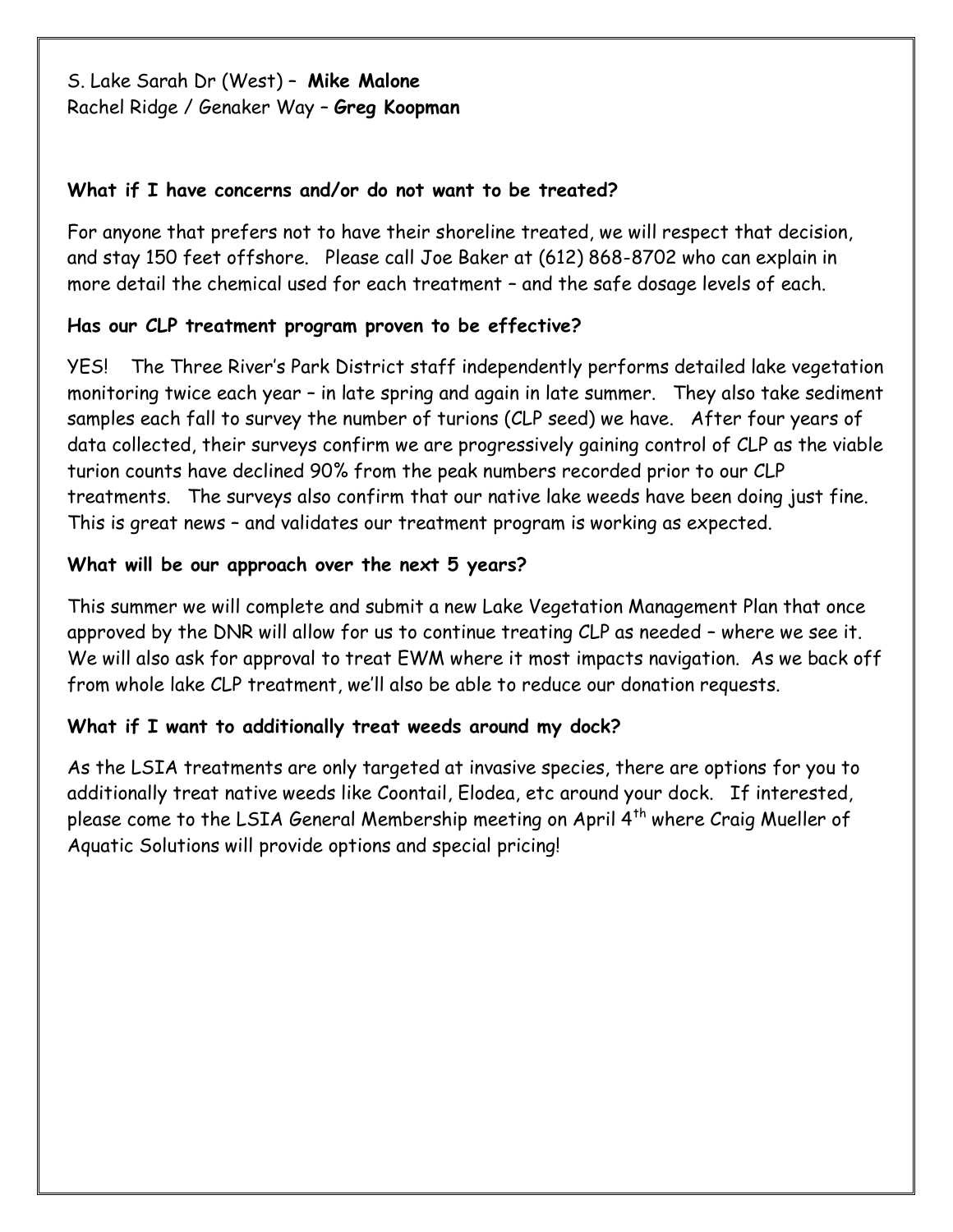S. Lake Sarah Dr (West) – **Mike Malone** Rachel Ridge / Genaker Way – **Greg Koopman**

#### **What if I have concerns and/or do not want to be treated?**

For anyone that prefers not to have their shoreline treated, we will respect that decision, and stay 150 feet offshore. Please call Joe Baker at (612) 868-8702 who can explain in more detail the chemical used for each treatment – and the safe dosage levels of each.

#### **Has our CLP treatment program proven to be effective?**

YES! The Three River's Park District staff independently performs detailed lake vegetation monitoring twice each year – in late spring and again in late summer. They also take sediment samples each fall to survey the number of turions (CLP seed) we have. After four years of data collected, their surveys confirm we are progressively gaining control of CLP as the viable turion counts have declined 90% from the peak numbers recorded prior to our CLP treatments. The surveys also confirm that our native lake weeds have been doing just fine. This is great news – and validates our treatment program is working as expected.

#### **What will be our approach over the next 5 years?**

This summer we will complete and submit a new Lake Vegetation Management Plan that once approved by the DNR will allow for us to continue treating CLP as needed – where we see it. We will also ask for approval to treat EWM where it most impacts navigation. As we back off from whole lake CLP treatment, we'll also be able to reduce our donation requests.

#### **What if I want to additionally treat weeds around my dock?**

As the LSIA treatments are only targeted at invasive species, there are options for you to additionally treat native weeds like Coontail, Elodea, etc around your dock. If interested, please come to the LSIA General Membership meeting on April 4<sup>th</sup> where Craig Mueller of Aquatic Solutions will provide options and special pricing!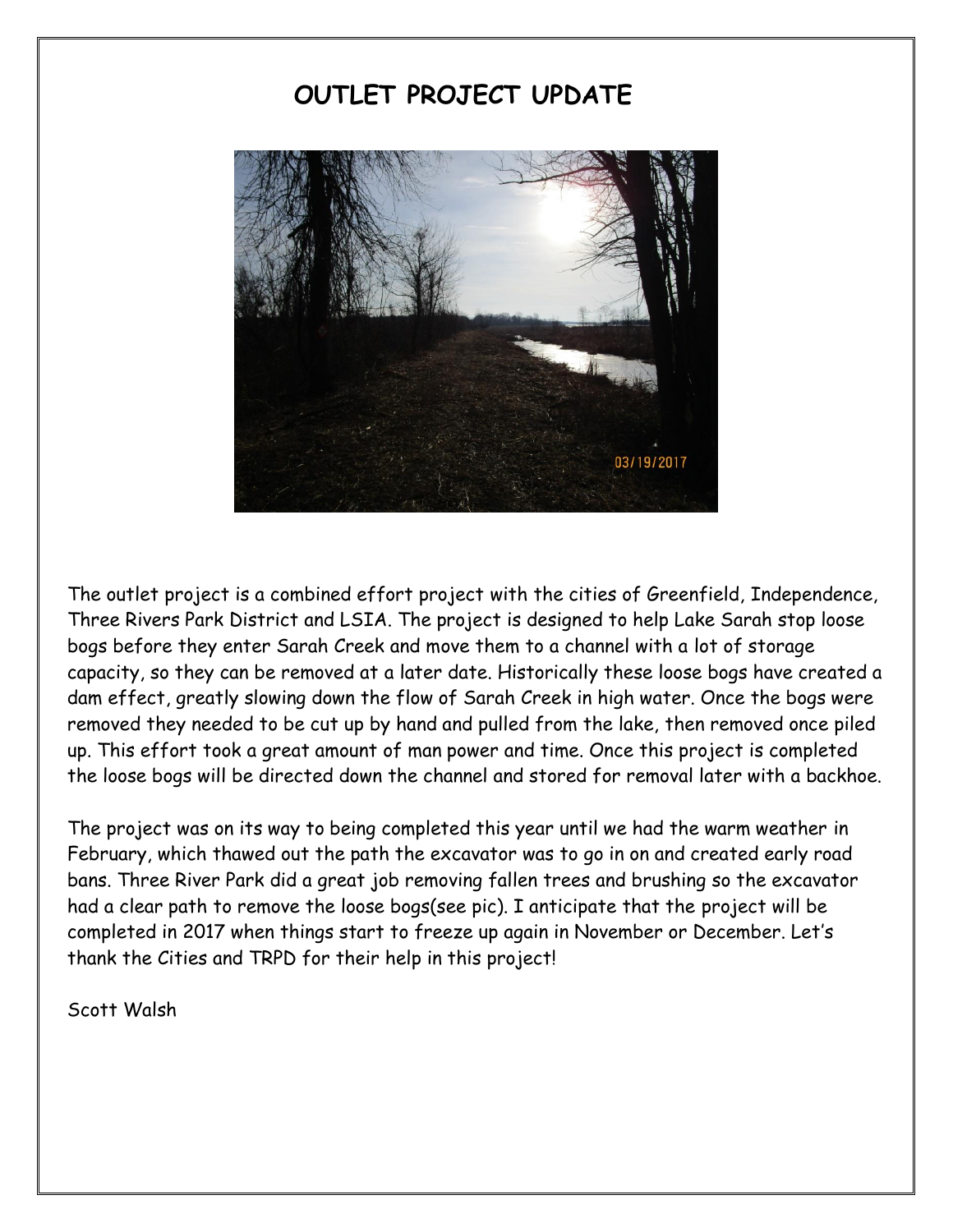## **OUTLET PROJECT UPDATE**



The outlet project is a combined effort project with the cities of Greenfield, Independence, Three Rivers Park District and LSIA. The project is designed to help Lake Sarah stop loose bogs before they enter Sarah Creek and move them to a channel with a lot of storage capacity, so they can be removed at a later date. Historically these loose bogs have created a dam effect, greatly slowing down the flow of Sarah Creek in high water. Once the bogs were removed they needed to be cut up by hand and pulled from the lake, then removed once piled up. This effort took a great amount of man power and time. Once this project is completed the loose bogs will be directed down the channel and stored for removal later with a backhoe.

The project was on its way to being completed this year until we had the warm weather in February, which thawed out the path the excavator was to go in on and created early road bans. Three River Park did a great job removing fallen trees and brushing so the excavator had a clear path to remove the loose bogs(see pic). I anticipate that the project will be completed in 2017 when things start to freeze up again in November or December. Let's thank the Cities and TRPD for their help in this project!

Scott Walsh